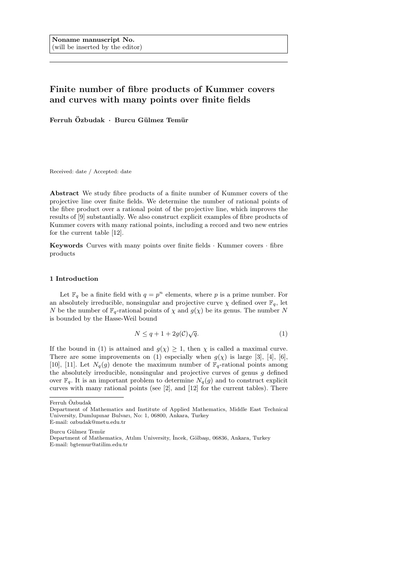# Finite number of fibre products of Kummer covers and curves with many points over finite fields

Ferruh Özbudak · Burcu Gülmez Temür

Received: date / Accepted: date

Abstract We study fibre products of a finite number of Kummer covers of the projective line over finite fields. We determine the number of rational points of the fibre product over a rational point of the projective line, which improves the results of [9] substantially. We also construct explicit examples of fibre products of Kummer covers with many rational points, including a record and two new entries for the current table [12].

Keywords Curves with many points over finite fields · Kummer covers · fibre products

### 1 Introduction

Let  $\mathbb{F}_q$  be a finite field with  $q = p^n$  elements, where p is a prime number. For an absolutely irreducible, nonsingular and projective curve  $\chi$  defined over  $\mathbb{F}_q$ , let N be the number of  $\mathbb{F}_q$ -rational points of  $\chi$  and  $g(\chi)$  be its genus. The number N is bounded by the Hasse-Weil bound

$$
N \le q + 1 + 2g(\mathcal{C})\sqrt{q}.\tag{1}
$$

If the bound in (1) is attained and  $g(\chi) \geq 1$ , then  $\chi$  is called a maximal curve. There are some improvements on (1) especially when  $g(\chi)$  is large [3], [4], [6], [10], [11]. Let  $N_q(g)$  denote the maximum number of  $\mathbb{F}_q$ -rational points among the absolutely irreducible, nonsingular and projective curves of genus  $g$  defined over  $\mathbb{F}_q$ . It is an important problem to determine  $N_q(q)$  and to construct explicit curves with many rational points (see [2], and [12] for the current tables). There

Ferruh Özbudak

Burcu Gülmez Temür

Department of Mathematics and Institute of Applied Mathematics, Middle East Technical University, Dumlupınar Bulvarı, No: 1, 06800, Ankara, Turkey E-mail: ozbudak@metu.edu.tr

Department of Mathematics, Atılım University, İncek, Gölbaşı, 06836, Ankara, Turkey E-mail: bgtemur@atilim.edu.tr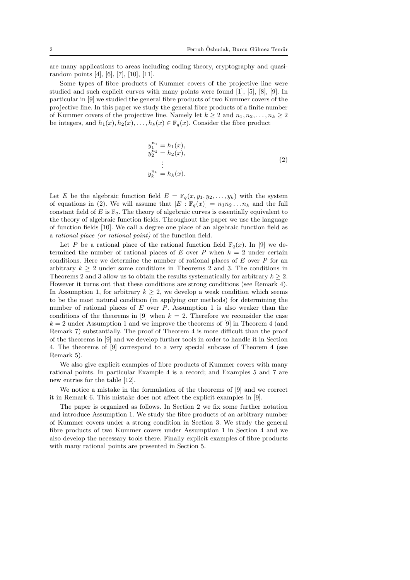are many applications to areas including coding theory, cryptography and quasirandom points [4], [6], [7], [10], [11].

Some types of fibre products of Kummer covers of the projective line were studied and such explicit curves with many points were found [1], [5], [8], [9]. In particular in [9] we studied the general fibre products of two Kummer covers of the projective line. In this paper we study the general fibre products of a finite number of Kummer covers of the projective line. Namely let  $k \geq 2$  and  $n_1, n_2, \ldots, n_k \geq 2$ be integers, and  $h_1(x), h_2(x), \ldots, h_k(x) \in \mathbb{F}_q(x)$ . Consider the fibre product

$$
y_1^{n_1} = h_1(x), \n y_2^{n_2} = h_2(x), \n \vdots \n y_k^{n_k} = h_k(x).
$$
\n(2)

Let E be the algebraic function field  $E = \mathbb{F}_q(x, y_1, y_2, \dots, y_k)$  with the system of equations in (2). We will assume that  $[E : F_q(x)] = n_1 n_2 ... n_k$  and the full constant field of E is  $\mathbb{F}_q$ . The theory of algebraic curves is essentially equivalent to the theory of algebraic function fields. Throughout the paper we use the language of function fields [10]. We call a degree one place of an algebraic function field as a rational place (or rational point) of the function field.

Let P be a rational place of the rational function field  $\mathbb{F}_q(x)$ . In [9] we determined the number of rational places of E over P when  $k = 2$  under certain conditions. Here we determine the number of rational places of  $E$  over  $P$  for an arbitrary  $k > 2$  under some conditions in Theorems 2 and 3. The conditions in Theorems 2 and 3 allow us to obtain the results systematically for arbitrary  $k \geq 2$ . However it turns out that these conditions are strong conditions (see Remark 4). In Assumption 1, for arbitrary  $k > 2$ , we develop a weak condition which seems to be the most natural condition (in applying our methods) for determining the number of rational places of  $E$  over  $P$ . Assumption 1 is also weaker than the conditions of the theorems in [9] when  $k = 2$ . Therefore we reconsider the case  $k = 2$  under Assumption 1 and we improve the theorems of [9] in Theorem 4 (and Remark 7) substantially. The proof of Theorem 4 is more difficult than the proof of the theorems in [9] and we develop further tools in order to handle it in Section 4. The theorems of [9] correspond to a very special subcase of Theorem 4 (see Remark 5).

We also give explicit examples of fibre products of Kummer covers with many rational points. In particular Example 4 is a record; and Examples 5 and 7 are new entries for the table [12].

We notice a mistake in the formulation of the theorems of [9] and we correct it in Remark 6. This mistake does not affect the explicit examples in [9].

The paper is organized as follows. In Section 2 we fix some further notation and introduce Assumption 1. We study the fibre products of an arbitrary number of Kummer covers under a strong condition in Section 3. We study the general fibre products of two Kummer covers under Assumption 1 in Section 4 and we also develop the necessary tools there. Finally explicit examples of fibre products with many rational points are presented in Section 5.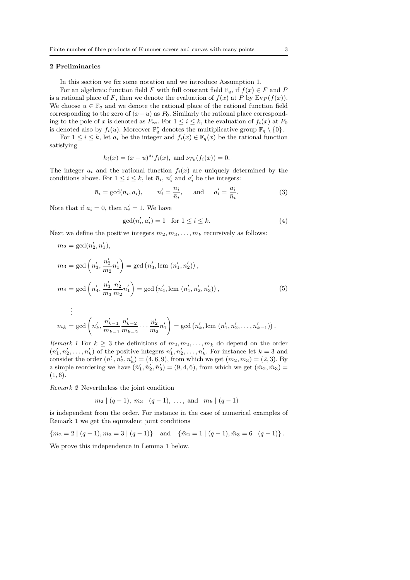# 2 Preliminaries

In this section we fix some notation and we introduce Assumption 1.

For an algebraic function field F with full constant field  $\mathbb{F}_q$ , if  $f(x) \in F$  and P is a rational place of F, then we denote the evaluation of  $f(x)$  at P by  $E_v(f(x))$ . We choose  $u \in \mathbb{F}_q$  and we denote the rational place of the rational function field corresponding to the zero of  $(x-u)$  as  $P_0$ . Similarly the rational place corresponding to the pole of x is denoted as  $P_{\infty}$ . For  $1 \leq i \leq k$ , the evaluation of  $f_i(x)$  at  $P_0$ is denoted also by  $f_i(u)$ . Moreover  $\mathbb{F}_q^*$  denotes the multiplicative group  $\mathbb{F}_q \setminus \{0\}$ .

For  $1 \leq i \leq k$ , let  $a_i$  be the integer and  $f_i(x) \in \mathbb{F}_q(x)$  be the rational function satisfying

$$
h_i(x) = (x - u)^{a_i} f_i(x)
$$
, and  $\nu_{P_0}(f_i(x)) = 0$ .

The integer  $a_i$  and the rational function  $f_i(x)$  are uniquely determined by the conditions above. For  $1 \leq i \leq k$ , let  $\bar{n}_i$ ,  $n'_i$  and  $a'_i$  be the integers:

$$
\bar{n}_i = \gcd(n_i, a_i), \qquad n'_i = \frac{n_i}{\bar{n}_i}, \qquad \text{and} \qquad a'_i = \frac{a_i}{\bar{n}_i}.\tag{3}
$$

Note that if  $a_i = 0$ , then  $n'_i = 1$ . We have

$$
\gcd(n'_i, a'_i) = 1 \quad \text{for } 1 \le i \le k. \tag{4}
$$

Next we define the positive integers  $m_2, m_3, \ldots, m_k$  recursively as follows:

$$
m_2 = \gcd(n'_2, n'_1),
$$
  
\n
$$
m_3 = \gcd\left(n'_3, \frac{n'_2}{m_2}n'_1\right) = \gcd\left(n'_3, \text{lcm } (n'_1, n'_2)\right),
$$
  
\n
$$
m_4 = \gcd\left(n'_4, \frac{n'_3}{m_3} \frac{n'_2}{m_2} n'_1\right) = \gcd\left(n'_4, \text{lcm } (n'_1, n'_2, n'_3)\right),
$$
  
\n
$$
\vdots
$$
\n(5)

$$
m_k = \gcd\left(n'_k, \frac{n'_{k-1}}{m_{k-1}} \frac{n'_{k-2}}{m_{k-2}} \cdots \frac{n'_{2}}{m_{2}} n'_{1}\right) = \gcd\left(n'_k, \text{lcm } (n'_1, n'_2, \ldots, n'_{k-1})\right).
$$

Remark 1 For  $k > 3$  the definitions of  $m_2, m_2, \ldots, m_k$  do depend on the order  $(n'_1, n'_2, \ldots, n'_k)$  of the positive integers  $n'_1, n'_2, \ldots, n'_k$ . For instance let  $k = 3$  and consider the order  $(n'_1, n'_2, n'_k) = (4, 6, 9)$ , from which we get  $(m_2, m_3) = (2, 3)$ . By a simple reordering we have  $(\tilde{n}'_1, \tilde{n}'_2, \tilde{n}'_3) = (9, 4, 6)$ , from which we get  $(\tilde{m}_2, \tilde{m}_3) =$  $(1, 6).$ 

Remark 2 Nevertheless the joint condition

$$
m_2 \mid (q-1), m_3 \mid (q-1), \ldots
$$
, and  $m_k \mid (q-1)$ 

is independent from the order. For instance in the case of numerical examples of Remark 1 we get the equivalent joint conditions

 ${m_2 = 2 | (q-1), m_3 = 3 | (q-1)}$  and  ${ {\tilde{m}_2 = 1 | (q-1), \tilde{m}_3 = 6 | (q-1)}$ .

We prove this independence in Lemma 1 below.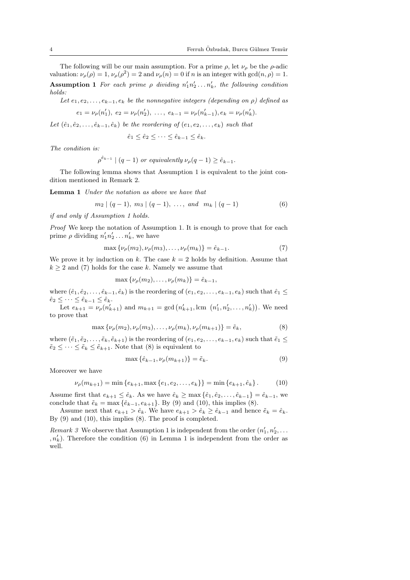The following will be our main assumption. For a prime  $\rho$ , let  $\nu_{\rho}$  be the  $\rho$ -adic valuation:  $\nu_{\rho}(\rho) = 1$ ,  $\nu_{\rho}(\rho^2) = 2$  and  $\nu_{\rho}(n) = 0$  if n is an integer with gcd $(n, \rho) = 1$ . **Assumption 1** For each prime  $\rho$  dividing  $n'_1 n'_2 \ldots n'_k$ , the following condition holds:

Let  $e_1, e_2, \ldots, e_{k-1}, e_k$  be the nonnegative integers (depending on  $\rho$ ) defined as

$$
e_1 = \nu_\rho(n'_1), \ e_2 = \nu_\rho(n'_2), \ \ldots, \ e_{k-1} = \nu_\rho(n'_{k-1}), e_k = \nu_\rho(n'_k).
$$

Let  $(\hat{e}_1, \hat{e}_2, \ldots, \hat{e}_{k-1}, \hat{e}_k)$  be the reordering of  $(e_1, e_2, \ldots, e_k)$  such that

$$
\hat{e}_1 \le \hat{e}_2 \le \dots \le \hat{e}_{k-1} \le \hat{e}_k.
$$

The condition is:

$$
\rho^{\hat{e}_{k-1}} \mid (q-1) \text{ or equivalently } \nu_{\rho}(q-1) \ge \hat{e}_{k-1}.
$$

The following lemma shows that Assumption 1 is equivalent to the joint condition mentioned in Remark 2.

Lemma 1 Under the notation as above we have that

$$
m_2 \mid (q-1), m_3 \mid (q-1), \ldots, \text{ and } m_k \mid (q-1)
$$
 (6)

if and only if Assumption 1 holds.

Proof We keep the notation of Assumption 1. It is enough to prove that for each prime  $\rho$  dividing  $n'_1 n'_2 \dots n'_k$ , we have

$$
\max \{ \nu_{\rho}(m_2), \nu_{\rho}(m_3), \dots, \nu_{\rho}(m_k) \} = \hat{e}_{k-1}.
$$
 (7)

We prove it by induction on k. The case  $k = 2$  holds by definition. Assume that  $k \geq 2$  and (7) holds for the case k. Namely we assume that

$$
\max \{\nu_\rho(m_2), \ldots, \nu_\rho(m_k)\} = \hat{e}_{k-1},
$$

where  $(\hat{e}_1, \hat{e}_2, \ldots, \hat{e}_{k-1}, \hat{e}_k)$  is the reordering of  $(e_1, e_2, \ldots, e_{k-1}, e_k)$  such that  $\hat{e}_1 \leq$  $\hat{e}_2 \leq \cdots \leq \hat{e}_{k-1} \leq \hat{e}_k.$ 

Let  $e_{k+1} \leq e_{k-1} \leq e_k$ .<br>Let  $e_{k+1} = \nu_\rho(n'_{k+1})$  and  $m_{k+1} = \gcd(n'_{k+1}, \text{lcm } (n'_1, n'_2, \dots, n'_k)).$  We need to prove that

$$
\max \{ \nu_{\rho}(m_2), \nu_{\rho}(m_3), \dots, \nu_{\rho}(m_k), \nu_{\rho}(m_{k+1}) \} = \tilde{e}_k, \tag{8}
$$

where  $(\tilde{e}_1, \tilde{e}_2, \ldots, \tilde{e}_k, \tilde{e}_{k+1})$  is the reordering of  $(e_1, e_2, \ldots, e_{k-1}, e_k)$  such that  $\tilde{e}_1 \leq$  $\tilde{e}_2 \leq \cdots \leq \tilde{e}_k \leq \tilde{e}_{k+1}$ . Note that (8) is equivalent to

$$
\max\left\{\hat{e}_{k-1}, \nu_{\rho}(m_{k+1})\right\} = \tilde{e}_k. \tag{9}
$$

Moreover we have

$$
\nu_{\rho}(m_{k+1}) = \min\left\{e_{k+1}, \max\left\{e_1, e_2, \dots, e_k\right\}\right\} = \min\left\{e_{k+1}, \hat{e}_k\right\}.
$$
 (10)

Assume first that  $e_{k+1} \leq \hat{e}_k$ . As we have  $\hat{e}_k \geq \max\{\hat{e}_1, \hat{e}_2, \dots, \hat{e}_{k-1}\} = \hat{e}_{k-1}$ , we conclude that  $\tilde{e}_k = \max{\{\hat{e}_{k-1}, e_{k+1}\}}$ . By (9) and (10), this implies (8).

Assume next that  $e_{k+1} > \hat{e}_k$ . We have  $e_{k+1} > \hat{e}_k \ge \hat{e}_{k-1}$  and hence  $\tilde{e}_k = \hat{e}_k$ . By (9) and (10), this implies (8). The proof is completed.

Remark 3 We observe that Assumption 1 is independent from the order  $(n'_1, n'_2, \ldots)$  $n'_k$ ). Therefore the condition (6) in Lemma 1 is independent from the order as well.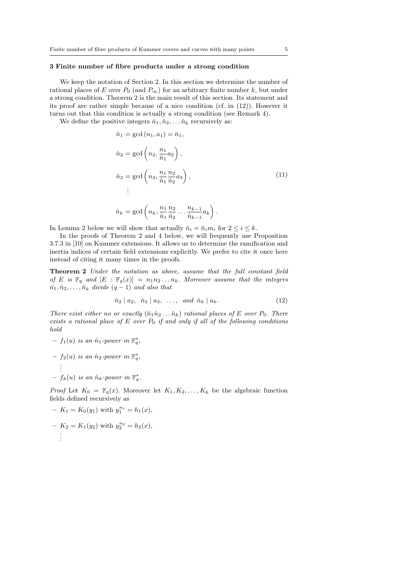#### 3 Finite number of fibre products under a strong condition

We keep the notation of Section 2. In this section we determine the number of rational places of E over  $P_0$  (and  $P_{\infty}$ ) for an arbitrary finite number k, but under a strong condition. Theorem 2 is the main result of this section. Its statement and its proof are rather simple because of a nice condition (cf. in  $(12)$ ). However it turns out that this condition is actually a strong condition (see Remark 4).

We define the positive integers  $\hat{n}_1, \hat{n}_2, \dots, \hat{n}_k$  recursively as:

$$
\hat{n}_1 = \gcd(n_1, a_1) = \bar{n}_1,
$$
\n
$$
\hat{n}_2 = \gcd\left(n_2, \frac{n_1}{\hat{n}_1} a_2\right),
$$
\n
$$
\hat{n}_3 = \gcd\left(n_3, \frac{n_1}{\hat{n}_1} \frac{n_2}{\hat{n}_2} a_3\right),
$$
\n
$$
\vdots
$$
\n
$$
\hat{n}_k = \gcd\left(n_k, \frac{n_1}{\hat{n}_1} \frac{n_2}{\hat{n}_2} \dots \frac{n_{k-1}}{\hat{n}_k} a_k\right).
$$
\n(11)

$$
\hat{n}_k = \gcd\left(n_k, \frac{n_1}{\hat{n}_1} \frac{n_2}{\hat{n}_2} \dots \frac{n_{k-1}}{\hat{n}_{k-1}} a_k\right).
$$

In Lemma 2 below we will show that actually  $\hat{n}_i = \bar{n}_i m_i$  for  $2 \leq i \leq k$ .

In the proofs of Theorem 2 and 4 below, we will frequently use Proposition 3.7.3 in [10] on Kummer extensions. It allows us to determine the ramification and inertia indices of certain field extensions explicitly. We prefer to cite it once here instead of citing it many times in the proofs.

Theorem 2 Under the notation as above, assume that the full constant field of E is  $\mathbb{F}_q$  and  $[E : \mathbb{F}_q(x)] = n_1 n_2 ... n_k$ . Moreover assume that the integers  $\hat{n_1}, \hat{n}_2, \ldots, \hat{n}_k$  divide  $(q-1)$  and also that

$$
\hat{n}_2 \mid a_2, \quad \hat{n}_3 \mid a_3, \quad \dots, \quad \text{and} \quad \hat{n}_k \mid a_k. \tag{12}
$$

There exist either no or exactly  $(\hat{n}_1 \hat{n}_2 \dots \hat{n}_k)$  rational places of E over  $P_0$ . There exists a rational place of E over  $P_0$  if and only if all of the following conditions hold

 $- f_1(u)$  is an  $\hat{n}_1$ -power in  $\mathbb{F}_q^*$ ,  $- f_2(u)$  is an  $\hat{n}_2$ -power in  $\mathbb{F}_q^*,$ . . .  $- f_k(u)$  is an  $\hat{n}_k$ -power in  $\mathbb{F}_q^*$ .

*Proof* Let  $K_0 = \mathbb{F}_q(x)$ . Moreover let  $K_1, K_2, \ldots, K_k$  be the algebraic function fields defined recursively as

- $-K_1 = K_0(y_1)$  with  $y_1^{n_1} = h_1(x)$ ,
- $-K_2 = K_1(y_2)$  with  $y_2^{n_2} = h_2(x)$ , . . .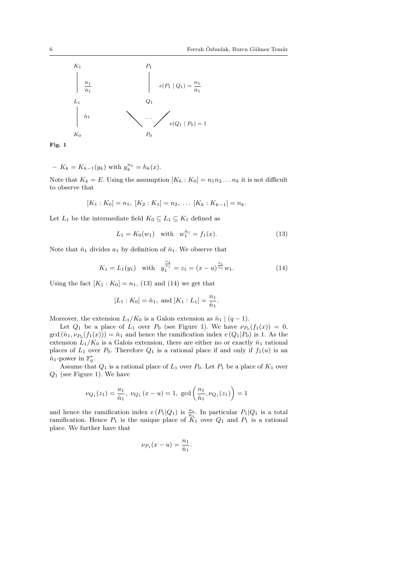

Fig. 1

- 
$$
K_k = K_{k-1}(y_k)
$$
 with  $y_k^{n_k} = h_k(x)$ .

Note that  $K_k = E$ . Using the assumption  $[K_k : K_0] = n_1 n_2 ... n_k$  it is not difficult to observe that

$$
[K_1:K_0]=n_1, [K_2:K_1]=n_2, \ldots [K_k:K_{k-1}]=n_k.
$$

Let  $L_1$  be the intermediate field  $K_0 \subseteq L_1 \subseteq K_1$  defined as

$$
L_1 = K_0(w_1) \quad \text{with} \quad w_1^{\hat{n}_1} = f_1(x). \tag{13}
$$

Note that  $\hat{n}_1$  divides  $a_1$  by definition of  $\hat{n}_1$ . We observe that

$$
K_1 = L_1(y_1)
$$
 with  $y_1^{\frac{n_1}{\hat{n}_1}} = z_1 = (x - u)^{\frac{a_1}{\hat{n}_1}} w_1.$  (14)

Using the fact  $[K_1 : K_0] = n_1$ , (13) and (14) we get that

$$
[L_1 : K_0] = \hat{n}_1
$$
, and  $[K_1 : L_1] = \frac{n_1}{\hat{n}_1}$ .

Moreover, the extension  $L_1/K_0$  is a Galois extension as  $\hat{n}_1 \mid (q-1)$ .

Let  $Q_1$  be a place of  $L_1$  over  $P_0$  (see Figure 1). We have  $\nu_{P_0}(f_1(x)) = 0$ ,  $gcd(\hat{n}_1, \nu_{P_0}(f_1(x))) = \hat{n}_1$  and hence the ramification index  $e(Q_1|P_0)$  is 1. As the extension  $L_1/K_0$  is a Galois extension, there are either no or exactly  $\hat{n}_1$  rational places of  $L_1$  over  $P_0$ . Therefore  $Q_1$  is a rational place if and only if  $f_1(u)$  is an  $\hat{n}_1$ -power in  $\mathbb{F}_q^*$ .

Assume that  $Q_1$  is a rational place of  $L_1$  over  $P_0$ . Let  $P_1$  be a place of  $K_1$  over  $Q_1$  (see Figure 1). We have

$$
\nu_{Q_1}(z_1) = \frac{a_1}{\hat{n}_1}, \ \nu_{Q_1} \left( x - u \right) = 1, \ \gcd\left( \frac{n_1}{\hat{n}_1}, \nu_{Q_1}(z_1) \right) = 1
$$

and hence the ramification index  $e(P_1|Q_1)$  is  $\frac{n_1}{n_1}$ . In particular  $P_1|Q_1$  is a total ramification. Hence  $P_1$  is the unique place of  $\tilde{K}_1$  over  $Q_1$  and  $P_1$  is a rational place. We further have that

$$
\nu_{P_1}(x-u) = \frac{n_1}{\hat{n}_1}.
$$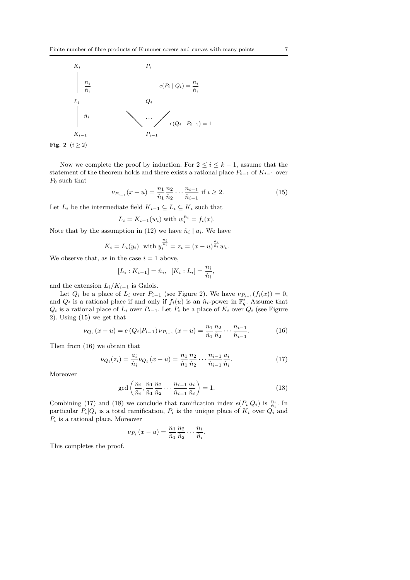

Fig. 2  $(i \geq 2)$ 

Now we complete the proof by induction. For  $2 \leq i \leq k-1$ , assume that the statement of the theorem holds and there exists a rational place  $P_{i-1}$  of  $K_{i-1}$  over  $P_0$  such that

$$
\nu_{P_{i-1}}(x-u) = \frac{n_1}{\hat{n}_1} \frac{n_2}{\hat{n}_2} \cdots \frac{n_{i-1}}{\hat{n}_{i-1}} \text{ if } i \ge 2. \tag{15}
$$

Let  $L_i$  be the intermediate field  $K_{i-1} \subseteq L_i \subseteq K_i$  such that

$$
L_i = K_{i-1}(w_i) \text{ with } w_i^{\hat{n}_i} = f_i(x).
$$

Note that by the assumption in (12) we have  $\hat{n}_i | a_i$ . We have

$$
K_i = L_i(y_i)
$$
 with  $y_i^{\frac{n_i}{n_i}} = z_i = (x - u)^{\frac{a_i}{n_i}} w_i$ .

We observe that, as in the case  $i = 1$  above,

$$
[L_i : K_{i-1}] = \hat{n}_i, \ \ [K_i : L_i] = \frac{n_i}{\hat{n}_i},
$$

and the extension  $L_i/K_{i-1}$  is Galois.

Let  $Q_i$  be a place of  $L_i$  over  $P_{i-1}$  (see Figure 2). We have  $\nu_{P_{i-1}}(f_i(x)) = 0$ , and  $Q_i$  is a rational place if and only if  $f_i(u)$  is an  $\hat{n}_i$ -power in  $\mathbb{F}_q^*$ . Assume that  $Q_i$  is a rational place of  $L_i$  over  $P_{i-1}$ . Let  $P_i$  be a place of  $K_i$  over  $Q_i$  (see Figure 2). Using (15) we get that

$$
\nu_{Q_i}(x - u) = e(Q_i|P_{i-1})\nu_{P_{i-1}}(x - u) = \frac{n_1}{\hat{n}_1}\frac{n_2}{\hat{n}_2}\cdots\frac{n_{i-1}}{\hat{n}_{i-1}}.
$$
 (16)

Then from (16) we obtain that

$$
\nu_{Q_i}(z_i) = \frac{a_i}{\hat{n}_i} \nu_{Q_i} (x - u) = \frac{n_1}{\hat{n}_1} \frac{n_2}{\hat{n}_2} \cdots \frac{n_{i-1}}{\hat{n}_{i-1}} \frac{a_i}{\hat{n}_i}.
$$
 (17)

Moreover

$$
\gcd\left(\frac{n_i}{\hat{n}_i}, \frac{n_1}{\hat{n}_1}\frac{n_2}{\hat{n}_2}\cdots\frac{n_{i-1}}{\hat{n}_{i-1}}\frac{a_i}{\hat{n}_i}\right) = 1.
$$
 (18)

Combining (17) and (18) we conclude that ramification index  $e(P_i|Q_i)$  is  $\frac{n_i}{\hat{n}_i}$ . In particular  $P_i|Q_i$  is a total ramification,  $P_i$  is the unique place of  $K_i$  over  $Q_i$  and  $P_i$  is a rational place. Moreover

$$
\nu_{P_i}(x-u) = \frac{n_1}{\hat{n}_1} \frac{n_2}{\hat{n}_2} \cdots \frac{n_i}{\hat{n}_i}.
$$

This completes the proof.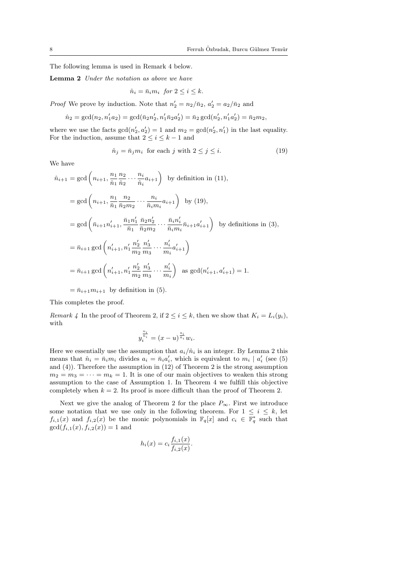The following lemma is used in Remark 4 below.

Lemma 2 Under the notation as above we have

$$
\hat{n}_i = \bar{n}_i m_i \text{ for } 2 \le i \le k.
$$

*Proof* We prove by induction. Note that  $n'_2 = n_2/\bar{n}_2$ ,  $a'_2 = a_2/\bar{n}_2$  and

$$
\hat{n}_2 = \gcd(n_2, n'_1 a_2) = \gcd(\bar{n}_2 n'_2, n'_1 \bar{n}_2 a'_2) = \bar{n}_2 \gcd(n'_2, n'_1 a'_2) = \bar{n}_2 m_2,
$$

where we use the facts  $gcd(n'_2, a'_2) = 1$  and  $m_2 = gcd(n'_2, n'_1)$  in the last equality. For the induction, assume that  $2 \leq i \leq k-1$  and

0

$$
\hat{n}_j = \bar{n}_j m_i \text{ for each } j \text{ with } 2 \le j \le i. \tag{19}
$$

We have

$$
\hat{n}_{i+1} = \gcd\left(n_{i+1}, \frac{n_1}{\hat{n}_1} \frac{n_2}{\hat{n}_2} \cdots \frac{n_i}{\hat{n}_i} a_{i+1}\right) \text{ by definition in (11)},
$$
\n
$$
= \gcd\left(n_{i+1}, \frac{n_1}{\hat{n}_1} \frac{n_2}{\hat{n}_2 m_2} \cdots \frac{n_i}{\hat{n}_i m_i} a_{i+1}\right) \text{ by (19)},
$$
\n
$$
= \gcd\left(\bar{n}_{i+1} n'_{i+1}, \frac{\bar{n}_1 n'_1}{\bar{n}_1} \frac{\bar{n}_2 n'_2}{\bar{n}_2 m_2} \cdots \frac{\bar{n}_i n'_i}{\bar{n}_i m_i} \bar{n}_{i+1} a'_{i+1}\right) \text{ by definitions in (3)},
$$
\n
$$
= \bar{n}_{i+1} \gcd\left(n'_{i+1}, n'_1 \frac{n'_2}{m_2} \frac{n'_3}{m_3} \cdots \frac{n'_i}{m_i} a'_{i+1}\right)
$$
\n
$$
= \bar{n}_{i+1} \gcd\left(n'_{i+1}, n'_1 \frac{n'_2}{m_2} \frac{n'_3}{m_3} \cdots \frac{n'_i}{m_i}\right) \text{ as } \gcd(n'_{i+1}, a'_{i+1}) = 1.
$$

$$
=\bar{n}_{i+1}m_{i+1}
$$
 by definition in (5).

This completes the proof.

Remark 4 In the proof of Theorem 2, if  $2 \leq i \leq k$ , then we show that  $K_i = L_i(y_i)$ , with

$$
y_i^{\frac{n_i}{\hat{n}_i}} = (x-u)^{\frac{a_i}{\hat{n}_i}}w_i.
$$

Here we essentially use the assumption that  $a_i/\hat{n}_i$  is an integer. By Lemma 2 this means that  $\hat{n}_i = \bar{n}_i m_i$  divides  $a_i = \bar{n}_i a'_i$ , which is equivalent to  $m_i | a'_i$  (see (5) and (4)). Therefore the assumption in (12) of Theorem 2 is the strong assumption  $m_2 = m_3 = \cdots = m_k = 1$ . It is one of our main objectives to weaken this strong assumption to the case of Assumption 1. In Theorem 4 we fulfill this objective completely when  $k = 2$ . Its proof is more difficult than the proof of Theorem 2.

Next we give the analog of Theorem 2 for the place  $P_{\infty}$ . First we introduce some notation that we use only in the following theorem. For  $1 \leq i \leq k$ , let  $f_{i,1}(x)$  and  $f_{i,2}(x)$  be the monic polynomials in  $\mathbb{F}_q[x]$  and  $c_i \in \mathbb{F}_q^*$  such that  $gcd(f_{i,1}(x), f_{i,2}(x)) = 1$  and

$$
h_i(x) = c_i \frac{f_{i,1}(x)}{f_{i,2}(x)}.
$$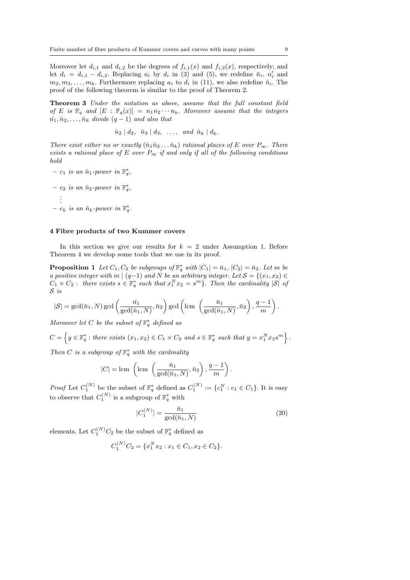Moreover let  $d_{i,1}$  and  $d_{i,2}$  be the degrees of  $f_{i,1}(x)$  and  $f_{i,2}(x)$ , respectively; and let  $d_i = d_{i,1} - d_{i,2}$ . Replacing  $a_i$  by  $d_i$  in (3) and (5), we redefine  $\bar{n}_i$ ,  $n'_i$  and  $m_2, m_3, \ldots, m_k$ . Furthermore replacing  $a_i$  to  $d_i$  in (11), we also redefine  $\hat{n}_i$ . The proof of the following theorem is similar to the proof of Theorem 2.

Theorem 3 Under the notation as above, assume that the full constant field of E is  $\mathbb{F}_q$  and  $[E : \mathbb{F}_q(x)] = n_1 n_2 \cdots n_k$ . Moreover assume that the integers  $\hat{n_1}, \hat{n}_2, \ldots, \hat{n}_k$  divide  $(q-1)$  and also that

$$
\hat{n}_2 \mid d_2, \hat{n}_3 \mid d_3, \ldots, \text{ and } \hat{n}_k \mid d_k.
$$

There exist either no or exactly  $(\hat{n}_1 \hat{n}_2 \dots \hat{n}_k)$  rational places of E over  $P_{\infty}$ . There exists a rational place of E over  $P_{\infty}$  if and only if all of the following conditions hold

 $- c_1$  is an  $\hat{n}_1$ -power in  $\mathbb{F}_q^*$ ,

 $- c_2$  is an  $\hat{n}_2$ -power in  $\mathbb{F}_q^*$ , . . .  $- c_k$  is an  $\hat{n}_k$ -power in  $\mathbb{F}_q^*$ .

#### 4 Fibre products of two Kummer covers

In this section we give our results for  $k = 2$  under Assumption 1. Before Theorem 4 we develop some tools that we use in its proof.

**Proposition 1** Let  $C_1, C_2$  be subgroups of  $\mathbb{F}_q^*$  with  $|C_1| = \bar{n}_1$ ,  $|C_2| = \bar{n}_2$ . Let m be a positive integer with m  $|(q-1)$  and N be an arbitrary integer. Let  $S = \{(x_1, x_2) \in$  $C_1 \times C_2$ : there exists  $s \in \mathbb{F}_q^*$  such that  $x_1^N x_2 = s^m$ . Then the cardinality  $|S|$  of S is

$$
|\mathcal{S}| = \gcd(\bar{n}_1, N) \gcd\left(\frac{\bar{n}_1}{\gcd(\bar{n}_1, N)}, \bar{n}_2\right) \gcd\left(\text{lcm } \left(\frac{\bar{n}_1}{\gcd(\bar{n}_1, N)}, \bar{n}_2\right), \frac{q-1}{m}\right).
$$

Moreover let C be the subset of  $\mathbb{F}_q^*$  defined as

 $C =$ n  $y \in \mathbb{F}_q^*$ : there exists  $(x_1, x_2) \in C_1 \times C_2$  and  $s \in \mathbb{F}_q^*$  such that  $y = x_1^N x_2 s^m$ 

Then C is a subgroup of  $\mathbb{F}_q^*$  with the cardinality

$$
|C| = \text{lcm} \left( \text{lcm} \left( \frac{\bar{n}_1}{\text{gcd}(\bar{n}_1, N)}, \bar{n}_2 \right), \frac{q-1}{m} \right).
$$

*Proof* Let  $C_1^{(N)}$  be the subset of  $\mathbb{F}_q^*$  defined as  $C_1^{(N)} := \{c_1^N : c_1 \in C_1\}$ . It is easy to observe that  $C_1^{(N)}$  is a subgroup of  $\mathbb{F}_q^*$  with

$$
|C_1^{(N)}| = \frac{\bar{n}_1}{\gcd(\bar{n}_1, N)}
$$
\n(20)

elements. Let  $C_1^{(N)}C_2$  be the subset of  $\mathbb{F}_q^*$  defined as

$$
C_1^{(N)}C_2 = \{x_1^N x_2 : x_1 \in C_1, x_2 \in C_2\}.
$$

.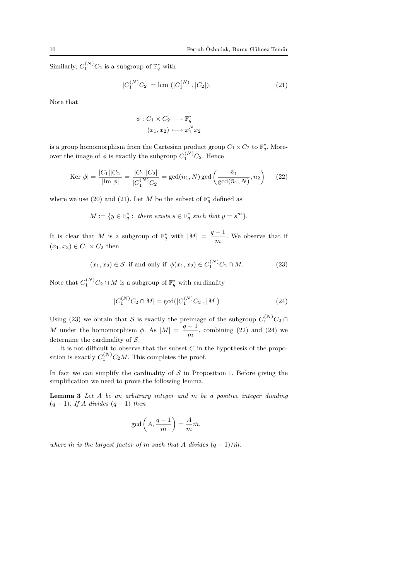Similarly,  $C_1^{(N)}C_2$  is a subgroup of  $\mathbb{F}_q^*$  with

$$
|C_1^{(N)}C_2| = \text{lcm } (|C_1^{(N)}|, |C_2|). \tag{21}
$$

Note that

$$
\phi: C_1 \times C_2 \longrightarrow \mathbb{F}_q^*
$$

$$
(x_1, x_2) \longmapsto x_1^N x_2
$$

is a group homomorphism from the Cartesian product group  $C_1 \times C_2$  to  $\mathbb{F}_q^*$ . Moreover the image of  $\phi$  is exactly the subgroup  $C_1^{(N)}C_2$ . Hence

$$
|\text{Ker }\phi| = \frac{|C_1||C_2|}{|\text{Im }\phi|} = \frac{|C_1||C_2|}{|C_1^{(N)}C_2|} = \gcd(\bar{n}_1, N) \gcd\left(\frac{\bar{n}_1}{\gcd(\bar{n}_1, N)}, \bar{n}_2\right) \tag{22}
$$

where we use (20) and (21). Let M be the subset of  $\mathbb{F}_q^*$  defined as

$$
M := \{ y \in \mathbb{F}_q^* : \text{ there exists } s \in \mathbb{F}_q^* \text{ such that } y = s^m \}.
$$

It is clear that M is a subgroup of  $\mathbb{F}_q^*$  with  $|M| = \frac{q-1}{n^2}$  $\frac{1}{m}$ . We observe that if  $(x_1, x_2) \in C_1 \times C_2$  then

$$
(x_1, x_2) \in S
$$
 if and only if  $\phi(x_1, x_2) \in C_1^{(N)}C_2 \cap M$ . (23)

Note that  $C_1^{(N)}C_2 \cap M$  is a subgroup of  $\mathbb{F}_q^*$  with cardinality

$$
|C_1^{(N)}C_2 \cap M| = \gcd(|C_1^{(N)}C_2|, |M|)
$$
\n(24)

Using (23) we obtain that S is exactly the preimage of the subgroup  $C_1^{(N)}C_2 \cap$ M under the homomorphism  $\phi$ . As  $|M| = \frac{q-1}{n}$  $\frac{1}{m}$ , combining (22) and (24) we determine the cardinality of S.

It is not difficult to observe that the subset  $C$  in the hypothesis of the proposition is exactly  $C_1^{(N)}C_2M$ . This completes the proof.

In fact we can simplify the cardinality of  $S$  in Proposition 1. Before giving the simplification we need to prove the following lemma.

**Lemma 3** Let  $A$  be an arbitrary integer and  $m$  be a positive integer dividing  $(q-1)$ . If A divides  $(q-1)$  then

$$
\gcd\left(A, \frac{q-1}{m}\right) = \frac{A}{m}\hat{m},
$$

where  $\hat{m}$  is the largest factor of m such that A divides  $(q-1)/\hat{m}$ .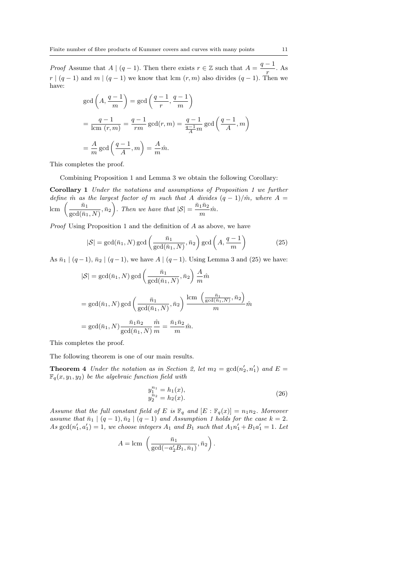*Proof* Assume that  $A \mid (q-1)$ . Then there exists  $r \in \mathbb{Z}$  such that  $A = \frac{q-1}{q-1}$  $\frac{1}{r}$ . As  $r | (q-1)$  and  $m | (q-1)$  we know that lcm  $(r, m)$  also divides  $(q-1)$ . Then we have:

$$
gcd\left(A, \frac{q-1}{m}\right) = gcd\left(\frac{q-1}{r}, \frac{q-1}{m}\right)
$$
  
=  $\frac{q-1}{lcm(r, m)} = \frac{q-1}{rm} gcd(r, m) = \frac{q-1}{\frac{q-1}{A}m} gcd\left(\frac{q-1}{A}, m\right)$   
=  $\frac{A}{m} gcd\left(\frac{q-1}{A}, m\right) = \frac{A}{m}\hat{m}.$ 

This completes the proof.

Combining Proposition 1 and Lemma 3 we obtain the following Corollary:

Corollary 1 Under the notations and assumptions of Proposition 1 we further define  $\hat{m}$  as the largest factor of m such that A divides  $(q-1)/\hat{m}$ , where  $A =$ *define m as*<br>lcm  $\left(\frac{\bar{n}_1}{\bar{n}_2}\right)$  $\frac{\bar{n}_1}{\gcd(\bar{n}_1, N)}, \bar{n}_2\bigg)$ . Then we have that  $|S| = \frac{\bar{n}_1 \bar{n}_2}{m}$  $\frac{1}{m}m$ .

Proof Using Proposition 1 and the definition of A as above, we have

$$
|\mathcal{S}| = \gcd(\bar{n}_1, N) \gcd\left(\frac{\bar{n}_1}{\gcd(\bar{n}_1, N)}, \bar{n}_2\right) \gcd\left(A, \frac{q-1}{m}\right)
$$
(25)

As  $\bar{n}_1 | (q-1), \bar{n}_2 | (q-1)$ , we have  $A | (q-1)$ . Using Lemma 3 and (25) we have:

$$
|S| = \gcd(\bar{n}_1, N) \gcd\left(\frac{\bar{n}_1}{\gcd(\bar{n}_1, N)}, \bar{n}_2\right) \frac{A}{m} \hat{m}
$$
  
= 
$$
\gcd(\bar{n}_1, N) \gcd\left(\frac{\bar{n}_1}{\gcd(\bar{n}_1, N)}, \bar{n}_2\right) \frac{\operatorname{lcm}\left(\frac{\bar{n}_1}{\gcd(\bar{n}_1, N)}, \bar{n}_2\right)}{m} \hat{m}
$$
  
= 
$$
\gcd(\bar{n}_1, N) \frac{\bar{n}_1 \bar{n}_2}{\gcd(\bar{n}_1, N)} \frac{\hat{m}}{m} = \frac{\bar{n}_1 \bar{n}_2}{m} \hat{m}.
$$

This completes the proof.

The following theorem is one of our main results.

**Theorem 4** Under the notation as in Section 2, let  $m_2 = \gcd(n'_2, n'_1)$  and  $E =$  $\mathbb{F}_q(x, y_1, y_2)$  be the algebraic function field with

$$
y_1^{n_1} = h_1(x),
$$
  
\n
$$
y_2^{n_2} = h_2(x).
$$
\n(26)

Assume that the full constant field of E is  $\mathbb{F}_q$  and  $[E : \mathbb{F}_q(x)] = n_1 n_2$ . Moreover assume that  $\bar{n}_1 \mid (q-1), \bar{n}_2 \mid (q-1)$  and Assumption 1 holds for the case  $k = 2$ . As  $gcd(n'_1, a'_1) = 1$ , we choose integers  $A_1$  and  $B_1$  such that  $A_1 n'_1 + B_1 a'_1 = 1$ . Let

$$
A = \text{lcm} \left( \frac{\bar{n}_1}{\text{gcd}(-a_2'B_1, \bar{n}_1)}, \bar{n}_2 \right).
$$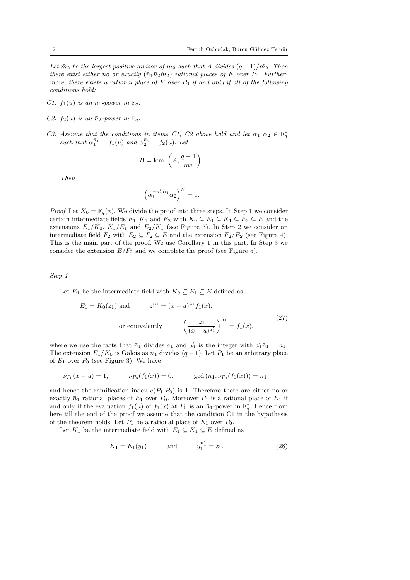Let  $\hat{m}_2$  be the largest positive divisor of  $m_2$  such that A divides  $(q-1)/\hat{m}_2$ . Then there exist either no or exactly  $(\bar{n}_1\bar{n}_2\hat{m}_2)$  rational places of E over  $P_0$ . Furthermore, there exists a rational place of  $E$  over  $P_0$  if and only if all of the following conditions hold:

- C1:  $f_1(u)$  is an  $\bar{n}_1$ -power in  $\mathbb{F}_q$ .
- C2:  $f_2(u)$  is an  $\bar{n}_2$ -power in  $\mathbb{F}_q$ .
- C3: Assume that the conditions in items C1, C2 above hold and let  $\alpha_1, \alpha_2 \in \mathbb{F}_q^*$ such that  $\alpha_1^{\bar{n}_1} = f_1(u)$  and  $\alpha_2^{\bar{n}_2} = f_2(u)$ . Let

$$
B = \text{lcm} \left( A, \frac{q-1}{m_2} \right).
$$

Then

$$
\left(\alpha_1^{-a_2'B_1}\alpha_2\right)^B = 1.
$$

*Proof* Let  $K_0 = \mathbb{F}_q(x)$ . We divide the proof into three steps. In Step 1 we consider certain intermediate fields  $E_1, K_1$  and  $E_2$  with  $K_0 \subseteq E_1 \subseteq K_1 \subseteq E_2 \subseteq E$  and the extensions  $E_1/K_0$ ,  $K_1/E_1$  and  $E_2/K_1$  (see Figure 3). In Step 2 we consider an intermediate field  $F_2$  with  $E_2 \subseteq F_2 \subseteq E$  and the extension  $F_2/E_2$  (see Figure 4). This is the main part of the proof. We use Corollary 1 in this part. In Step 3 we consider the extension  $E/F_2$  and we complete the proof (see Figure 5).

Step 1

Let  $E_1$  be the intermediate field with  $K_0 \subseteq E_1 \subseteq E$  defined as

$$
E_1 = K_0(z_1) \text{ and } z_1^{\bar{n}_1} = (x - u)^{a_1} f_1(x),
$$
  
or equivalently 
$$
\left(\frac{z_1}{(x - u)^{a'_1}}\right)^{\bar{n}_1} = f_1(x),
$$
 (27)

where we use the facts that  $\bar{n}_1$  divides  $a_1$  and  $a'_1$  is the integer with  $a'_1 \bar{n}_1 = a_1$ . The extension  $E_1/K_0$  is Galois as  $\bar{n}_1$  divides  $(q-1)$ . Let  $P_1$  be an arbitrary place of  $E_1$  over  $P_0$  (see Figure 3). We have

$$
\nu_{P_0}(x - u) = 1, \qquad \nu_{P_0}(f_1(x)) = 0, \qquad \gcd(\bar{n}_1, \nu_{P_0}(f_1(x))) = \bar{n}_1,
$$

and hence the ramification index  $e(P_1|P_0)$  is 1. Therefore there are either no or exactly  $\bar{n}_1$  rational places of  $E_1$  over  $P_0$ . Moreover  $P_1$  is a rational place of  $E_1$  if and only if the evaluation  $f_1(u)$  of  $f_1(x)$  at  $P_0$  is an  $\bar{n}_1$ -power in  $\mathbb{F}_q^*$ . Hence from here till the end of the proof we assume that the condition C1 in the hypothesis of the theorem holds. Let  $P_1$  be a rational place of  $E_1$  over  $P_0$ .

Let  $K_1$  be the intermediate field with  $E_1 \subseteq K_1 \subseteq E$  defined as

$$
K_1 = E_1(y_1) \quad \text{and} \quad y_1^{n'_1} = z_1. \tag{28}
$$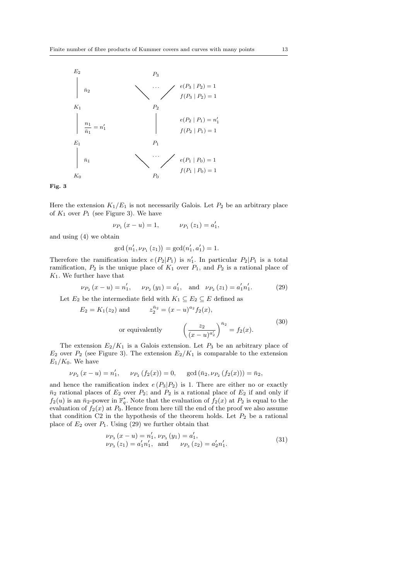

Fig. 3

Here the extension  $K_1/E_1$  is not necessarily Galois. Let  $P_2$  be an arbitrary place of  $K_1$  over  $P_1$  (see Figure 3). We have

$$
\nu_{P_1}(x - u) = 1, \qquad \nu_{P_1}(z_1) = a'_1,
$$

and using (4) we obtain

$$
\gcd(n'_1, \nu_{P_1}(z_1)) = \gcd(n'_1, a'_1) = 1.
$$

Therefore the ramification index  $e(P_2|P_1)$  is  $n'_1$ . In particular  $P_2|P_1$  is a total ramification,  $P_2$  is the unique place of  $K_1$  over  $P_1$ , and  $P_2$  is a rational place of  $K_1$ . We further have that

$$
\nu_{P_2}(x - u) = n'_1, \quad \nu_{P_2}(y_1) = a'_1, \text{ and } \nu_{P_2}(z_1) = a'_1 n'_1. \tag{29}
$$

Let  $E_2$  be the intermediate field with  $K_1 \subseteq E_2 \subseteq E$  defined as

$$
E_2 = K_1(z_2) \text{ and } z_2^{\bar{n}_2} = (x - u)^{a_2} f_2(x),
$$
  
or equivalently 
$$
\left(\frac{z_2}{(x - u)^{a'_2}}\right)^{\bar{n}_2} = f_2(x).
$$
 (30)

The extension  $E_2/K_1$  is a Galois extension. Let  $P_3$  be an arbitrary place of  $E_2$  over  $P_2$  (see Figure 3). The extension  $E_2/K_1$  is comparable to the extension  $E_1/K_0$ . We have

$$
\nu_{P_2}(x - u) = n'_1, \quad \nu_{P_2}(f_2(x)) = 0, \quad \gcd(\bar{n}_2, \nu_{P_2}(f_2(x))) = \bar{n}_2,
$$

and hence the ramification index  $e(P_3|P_2)$  is 1. There are either no or exactly  $\bar{n}_2$  rational places of  $E_2$  over  $P_2$ ; and  $P_2$  is a rational place of  $E_2$  if and only if  $f_2(u)$  is an  $\bar{n}_2$ -power in  $\mathbb{F}_q^*$ . Note that the evaluation of  $f_2(x)$  at  $P_2$  is equal to the evaluation of  $f_2(x)$  at  $P_0$ . Hence from here till the end of the proof we also assume that condition  $C2$  in the hypothesis of the theorem holds. Let  $P_2$  be a rational place of  $E_2$  over  $P_1$ . Using (29) we further obtain that

$$
\nu_{P_3}(x - u) = n'_1, \nu_{P_3}(y_1) = a'_1, \n\nu_{P_3}(z_1) = a'_1 n'_1, \text{ and } \nu_{P_3}(z_2) = a'_2 n'_1.
$$
\n(31)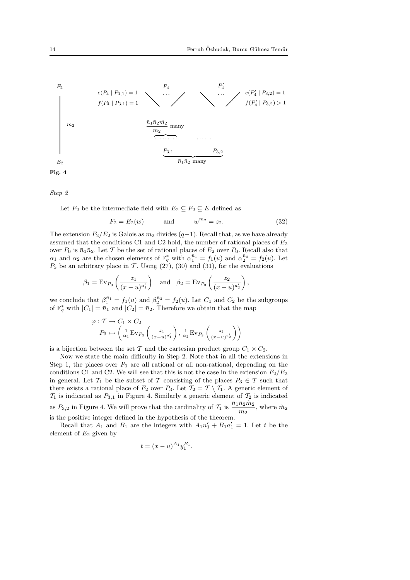

Step 2

Let  $F_2$  be the intermediate field with  $E_2 \subseteq F_2 \subseteq E$  defined as

$$
F_2 = E_2(w) \qquad \text{and} \qquad w^{m_2} = z_2. \tag{32}
$$

The extension  $F_2/E_2$  is Galois as  $m_2$  divides  $(q-1)$ . Recall that, as we have already assumed that the conditions C1 and C2 hold, the number of rational places of  $E_2$ over  $P_0$  is  $\bar{n}_1\bar{n}_2$ . Let T be the set of rational places of  $E_2$  over  $P_0$ . Recall also that  $\alpha_1$  and  $\alpha_2$  are the chosen elements of  $\mathbb{F}_q^*$  with  $\alpha_1^{\bar{n}_1} = f_1(u)$  and  $\alpha_2^{\bar{n}_2} = f_2(u)$ . Let  $P_3$  be an arbitrary place in T. Using (27), (30) and (31), for the evaluations

$$
\beta_1 = \text{Ev}_{P_3}\left(\frac{z_1}{(x-u)^{a'_1}}\right)
$$
 and  $\beta_2 = \text{Ev}_{P_3}\left(\frac{z_2}{(x-u)^{a'_2}}\right)$ ,

we conclude that  $\beta_1^{\bar{n}_1} = f_1(u)$  and  $\beta_2^{\bar{n}_2} = f_2(u)$ . Let  $C_1$  and  $C_2$  be the subgroups of  $\mathbb{F}_q^*$  with  $|C_1| = \bar{n}_1$  and  $|C_2| = \bar{n}_2$ . Therefore we obtain that the map

$$
\varphi: T \to C_1 \times C_2
$$
  
\n
$$
P_3 \mapsto \left(\frac{1}{\alpha_1} \text{Ev}_{P_3}\left(\frac{z_1}{(x-u)^{a'_1}}\right), \frac{1}{\alpha_2} \text{Ev}_{P_3}\left(\frac{z_2}{(x-u)^{a'_2}}\right)\right)
$$

is a bijection between the set T and the cartesian product group  $C_1 \times C_2$ .

Now we state the main difficulty in Step 2. Note that in all the extensions in Step 1, the places over  $P_0$  are all rational or all non-rational, depending on the conditions C1 and C2. We will see that this is not the case in the extension  $F_2/E_2$ in general. Let  $\mathcal{T}_1$  be the subset of T consisting of the places  $P_3 \in \mathcal{T}$  such that there exists a rational place of  $F_2$  over  $P_3$ . Let  $\mathcal{T}_2 = \mathcal{T} \setminus \mathcal{T}_1$ . A generic element of  $\mathcal{T}_1$  is indicated as  $P_{3,1}$  in Figure 4. Similarly a generic element of  $\mathcal{T}_2$  is indicated as  $P_{3,2}$  in Figure 4. We will prove that the cardinality of  $\mathcal{T}_1$  is  $\frac{\bar{n}_1 \bar{n}_2 \hat{m}_2}{m_2}$ , where  $\hat{m}_2$ is the positive integer defined in the hypothesis of the theorem.

Recall that  $A_1$  and  $B_1$  are the integers with  $A_1n'_1 + B_1a'_1 = 1$ . Let t be the element of  $E_2$  given by

$$
t = (x - u)^{A_1} y_1^{B_1}.
$$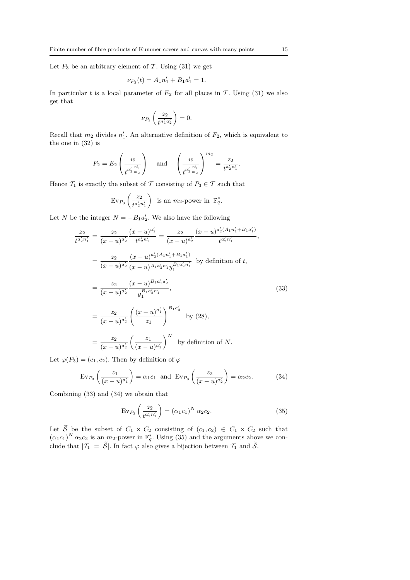Let  $P_3$  be an arbitrary element of T. Using (31) we get

$$
\nu_{P_3}(t) = A_1 n_1' + B_1 a_1' = 1.
$$

In particular t is a local parameter of  $E_2$  for all places in T. Using (31) we also get that

$$
\nu_{P_3}\left(\frac{z_2}{t^{n'_1a'_2}}\right) = 0.
$$

Recall that  $m_2$  divides  $n'_1$ . An alternative definition of  $F_2$ , which is equivalent to the one in (32) is

$$
F_2 = E_2 \left( \frac{w}{t^{a'_2 \frac{n'_1}{m_2}}} \right) \quad \text{and} \quad \left( \frac{w}{t^{a'_2 \frac{n'_1}{m_2}}} \right)^{m_2} = \frac{z_2}{t^{a'_2 n'_1}}.
$$

Hence  $\mathcal{T}_1$  is exactly the subset of  $\mathcal T$  consisting of  $P_3 \in \mathcal T$  such that

$$
\operatorname{Ev}_{P_3}\left(\frac{z_2}{t^{a'_2n'_1}}\right) \text{ is an } m_2\text{-power in } \mathbb{F}_q^*.
$$

Let N be the integer  $N = -B_1 a_2'$ . We also have the following

$$
\frac{z_2}{t^{a'_2 n'_1}} = \frac{z_2}{(x - u)^{a'_2}} \frac{(x - u)^{a'_2}}{t^{a'_2 n'_1}} = \frac{z_2}{(x - u)^{a'_2}} \frac{(x - u)^{a'_2(A_1 n'_1 + B_1 a'_1)}}{t^{a'_2 n'_1}},
$$
  
\n
$$
= \frac{z_2}{(x - u)^{a'_2}} \frac{(x - u)^{a'_2(A_1 n'_1 + B_1 a'_1)}}{(x - u)^{a'_2}} \frac{y_1^{B_1 a'_2 n'_1}}{y_1^{B_1 a'_2 n'_1}},
$$
 by definition of  $t$ ,  
\n
$$
= \frac{z_2}{(x - u)^{a'_2}} \frac{(x - u)^{B_1 a'_1 a'_2}}{y_1^{B_1 a'_2 n'_1}},
$$
  
\n
$$
= \frac{z_2}{(x - u)^{a'_2}} \left(\frac{(x - u)^{a'_1}}{z_1}\right)^{B_1 a'_2} \text{ by (28)},
$$
  
\n
$$
= \frac{z_2}{(x - u)^{a'_2}} \left(\frac{z_1}{(x - u)^{a'_1}}\right)^N \text{ by definition of } N.
$$

Let  $\varphi(P_3) = (c_1, c_2)$ . Then by definition of  $\varphi$ 

$$
Ev_{P_3}\left(\frac{z_1}{(x-u)^{a'_1}}\right) = \alpha_1 c_1 \text{ and } Ev_{P_3}\left(\frac{z_2}{(x-u)^{a'_2}}\right) = \alpha_2 c_2. \tag{34}
$$

Combining (33) and (34) we obtain that

$$
Ev_{P_3}\left(\frac{z_2}{t^{a'_2 n'_1}}\right) = (\alpha_1 c_1)^N \alpha_2 c_2.
$$
 (35)

Let  $\widetilde{S}$  be the subset of  $C_1 \times C_2$  consisting of  $(c_1, c_2) \in C_1 \times C_2$  such that  $(\alpha_1 c_1)^N \alpha_2 c_2$  is an  $m_2$ -power in  $\mathbb{F}_q^*$ . Using (35) and the arguments above we conclude that  $|T_1| = |\tilde{\mathcal{S}}|$ . In fact  $\varphi$  also gives a bijection between  $T_1$  and  $\tilde{\mathcal{S}}$ .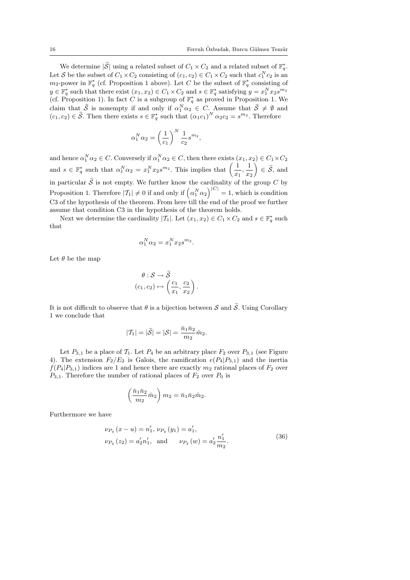We determine  $|\tilde{\mathcal{S}}|$  using a related subset of  $C_1 \times C_2$  and a related subset of  $\mathbb{F}_q^*$ . Let S be the subset of  $C_1 \times C_2$  consisting of  $(c_1, c_2) \in C_1 \times C_2$  such that  $c_1^N c_2$  is an  $m_2$ -power in  $\mathbb{F}_q^*$  (cf. Proposition 1 above). Let C be the subset of  $\mathbb{F}_q^*$  consisting of  $y \in \mathbb{F}_q^*$  such that there exist  $(x_1, x_2) \in C_1 \times C_2$  and  $s \in \mathbb{F}_q^*$  satisfying  $y = x_1^N x_2 s^{m_2}$ (cf. Proposition 1). In fact C is a subgroup of  $\mathbb{F}_q^*$  as proved in Proposition 1. We claim that  $\tilde{S}$  is nonempty if and only if  $\alpha_1^N \alpha_2 \in C$ . Assume that  $\tilde{S} \neq \emptyset$  and  $(c_1, c_2) \in \widetilde{\mathcal{S}}$ . Then there exists  $s \in \mathbb{F}_q^*$  such that  $(\alpha_1 c_1)^N \alpha_2 c_2 = s^{m_2}$ . Therefore

$$
\alpha_1^N \alpha_2 = \left(\frac{1}{c_1}\right)^N \frac{1}{c_2} s^{m_2},
$$

and hence  $\alpha_1^N \alpha_2 \in C$ . Conversely if  $\alpha_1^N \alpha_2 \in C$ , then there exists  $(x_1, x_2) \in C_1 \times C_2$ and nence  $\alpha_1 \alpha_2 \in C$ . Conversely if  $\alpha_1 \alpha_2 \in C$ , then there exists (and  $s \in \mathbb{F}_q^*$  such that  $\alpha_1^N \alpha_2 = x_1^N x_2 s^{m_2}$ . This implies that  $\left(\frac{1}{n}\right)$  $\frac{1}{x_1}, \frac{1}{x_2}$  $\left(\frac{1}{x_2}\right) \in \widetilde{\mathcal{S}}, \text{ and}$ in particular  $\widetilde{S}$  is not empty. We further know the cardinality of the group C by Proposition 1. Therefore  $|T_1| \neq 0$  if and only if  $(\alpha_1^N \alpha_2)^{|C|} = 1$ , which is condition C3 of the hypothesis of the theorem. From here till the end of the proof we further assume that condition C3 in the hypothesis of the theorem holds.

Next we determine the cardinality  $|T_1|$ . Let  $(x_1, x_2) \in C_1 \times C_2$  and  $s \in \mathbb{F}_q^*$  such that

$$
\alpha_1^N \alpha_2 = x_1^N x_2 s^{m_2}.
$$

Let  $\theta$  be the map

$$
\theta : \mathcal{S} \to \widetilde{\mathcal{S}}
$$

$$
(c_1, c_2) \mapsto \left(\frac{c_1}{x_1}, \frac{c_2}{x_2}\right)
$$

It is not difficult to observe that  $\theta$  is a bijection between S and  $\tilde{S}$ . Using Corollary 1 we conclude that

$$
|{\cal T}_1|=|\widetilde{\cal S}|=|{\cal S}|=\frac{\bar{n}_1\bar{n}_2}{m_2}\hat{m}_2.
$$

Let  $P_{3,1}$  be a place of  $\mathcal{T}_1$ . Let  $P_4$  be an arbitrary place  $F_2$  over  $P_{3,1}$  (see Figure 4). The extension  $F_2/E_2$  is Galois, the ramification  $e(P_4|P_{3,1})$  and the inertia  $f(P_4|P_{3,1})$  indices are 1 and hence there are exactly  $m_2$  rational places of  $F_2$  over  $P_{3,1}$ . Therefore the number of rational places of  $F_2$  over  $P_0$  is

$$
\left(\frac{\bar{n}_1\bar{n}_2}{m_2}\hat{m}_2\right)m_2 = \bar{n}_1\bar{n}_2\hat{m}_2.
$$

Furthermore we have

$$
\nu_{P_4}(x - u) = n'_1, \nu_{P_4}(y_1) = a'_1,\n\nu_{P_4}(z_2) = a'_2 n'_1, \text{ and } \nu_{P_4}(w) = a'_2 \frac{n'_1}{m_2}.
$$
\n(36)

.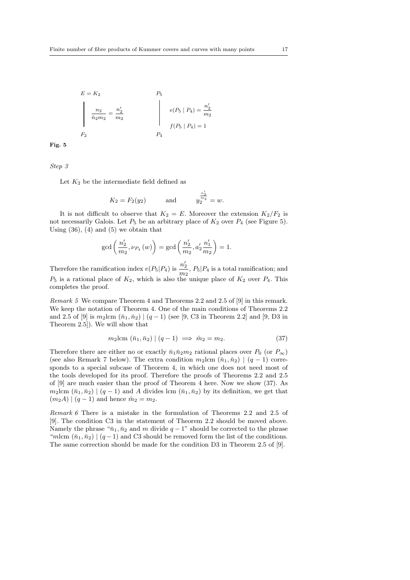$$
E = K_2
$$
  
\n
$$
\frac{n_2}{\bar{n}_2 m_2} = \frac{n'_2}{m_2}
$$
  
\n
$$
P_5
$$
  
\n
$$
e(P_5 | P_4) = \frac{n'_2}{m_2}
$$
  
\n
$$
f(P_5 | P_4) = 1
$$
  
\n
$$
P_4
$$

Fig. 5

Step 3

Let  $K_2$  be the intermediate field defined as

$$
K_2 = F_2(y_2)
$$
 and  $y_2^{\frac{n'_2}{m_2}} = w$ .

It is not difficult to observe that  $K_2 = E$ . Moreover the extension  $K_2/F_2$  is not necessarily Galois. Let  $P_5$  be an arbitrary place of  $K_2$  over  $P_4$  (see Figure 5). Using  $(36)$ ,  $(4)$  and  $(5)$  we obtain that

$$
gcd\left(\frac{n'_2}{m_2}, \nu_{P_4}(w)\right) = gcd\left(\frac{n'_2}{m_2}, a'_2 \frac{n'_1}{m_2}\right) = 1.
$$

Therefore the ramification index  $e(P_5|P_4)$  is  $\frac{n'_2}{n'_3}$  $\frac{n_2}{m_2}$ ,  $P_5|P_4$  is a total ramification; and  $P_5$  is a rational place of  $K_2$ , which is also the unique place of  $K_2$  over  $P_4$ . This completes the proof.

Remark 5 We compare Theorem 4 and Theorems 2.2 and 2.5 of [9] in this remark. We keep the notation of Theorem 4. One of the main conditions of Theorems 2.2 and 2.5 of [9] is  $m_2$ lcm  $(\bar{n}_1, \bar{n}_2)$  |  $(q - 1)$  (see [9, C3 in Theorem 2.2] and [9, D3 in Theorem 2.5]). We will show that

$$
m_2 \text{lcm} \left( \bar{n}_1, \bar{n}_2 \right) \mid (q-1) \implies \hat{m}_2 = m_2. \tag{37}
$$

Therefore there are either no or exactly  $\bar{n}_1 \bar{n}_2 m_2$  rational places over  $P_0$  (or  $P_{\infty}$ ) (see also Remark 7 below). The extra condition  $m_2$ lcm  $(\bar{n}_1, \bar{n}_2)$  |  $(q-1)$  corresponds to a special subcase of Theorem 4, in which one does not need most of the tools developed for its proof. Therefore the proofs of Theorems 2.2 and 2.5 of [9] are much easier than the proof of Theorem 4 here. Now we show (37). As  $m_2$ lcm  $(\bar{n}_1, \bar{n}_2)$  |  $(q-1)$  and A divides lcm  $(\bar{n}_1, \bar{n}_2)$  by its definition, we get that  $(m_2A) | (q-1)$  and hence  $\hat{m}_2 = m_2$ .

Remark 6 There is a mistake in the formulation of Theorems 2.2 and 2.5 of [9]. The condition C3 in the statement of Theorem 2.2 should be moved above. Namely the phrase " $\bar{n}_1$ ,  $\bar{n}_2$  and m divide  $q-1$ " should be corrected to the phrase "mlcm  $(\bar{n}_1, \bar{n}_2)$  |  $(q-1)$  and C3 should be removed form the list of the conditions. The same correction should be made for the condition D3 in Theorem 2.5 of [9].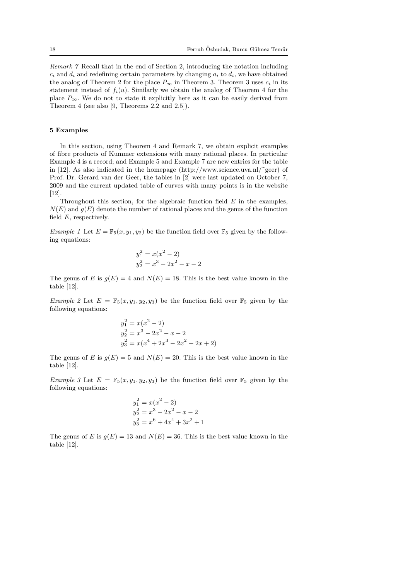Remark 7 Recall that in the end of Section 2, introducing the notation including  $c_i$  and  $d_i$  and redefining certain parameters by changing  $a_i$  to  $d_i$ , we have obtained the analog of Theorem 2 for the place  $P_{\infty}$  in Theorem 3. Theorem 3 uses  $c_i$  in its statement instead of  $f_i(u)$ . Similarly we obtain the analog of Theorem 4 for the place  $P_{\infty}$ . We do not to state it explicitly here as it can be easily derived from Theorem 4 (see also [9, Theorems 2.2 and 2.5]).

#### 5 Examples

In this section, using Theorem 4 and Remark 7, we obtain explicit examples of fibre products of Kummer extensions with many rational places. In particular Example 4 is a record; and Example 5 and Example 7 are new entries for the table in [12]. As also indicated in the homepage (http://www.science.uva.nl/˜geer) of Prof. Dr. Gerard van der Geer, the tables in [2] were last updated on October 7, 2009 and the current updated table of curves with many points is in the website [12].

Throughout this section, for the algebraic function field  $E$  in the examples,  $N(E)$  and  $g(E)$  denote the number of rational places and the genus of the function field  $E$ , respectively.

Example 1 Let  $E = \mathbb{F}_5(x, y_1, y_2)$  be the function field over  $\mathbb{F}_5$  given by the following equations:

$$
y_1^2 = x(x^2 - 2)
$$
  

$$
y_2^2 = x^3 - 2x^2 - x - 2
$$

The genus of E is  $g(E) = 4$  and  $N(E) = 18$ . This is the best value known in the table [12].

Example 2 Let  $E = \mathbb{F}_5(x, y_1, y_2, y_3)$  be the function field over  $\mathbb{F}_5$  given by the following equations:

$$
y_1^2 = x(x^2 - 2)
$$
  
\n
$$
y_2^2 = x^3 - 2x^2 - x - 2
$$
  
\n
$$
y_3^2 = x(x^4 + 2x^3 - 2x^2 - 2x + 2)
$$

The genus of E is  $g(E) = 5$  and  $N(E) = 20$ . This is the best value known in the table [12].

Example 3 Let  $E = \mathbb{F}_5(x, y_1, y_2, y_3)$  be the function field over  $\mathbb{F}_5$  given by the following equations:

$$
y_1^2 = x(x^2 - 2)
$$
  
\n
$$
y_2^2 = x^3 - 2x^2 - x - 2
$$
  
\n
$$
y_3^2 = x^6 + 4x^4 + 3x^2 +
$$

The genus of E is  $g(E) = 13$  and  $N(E) = 36$ . This is the best value known in the table [12].

 $\mathbf 1$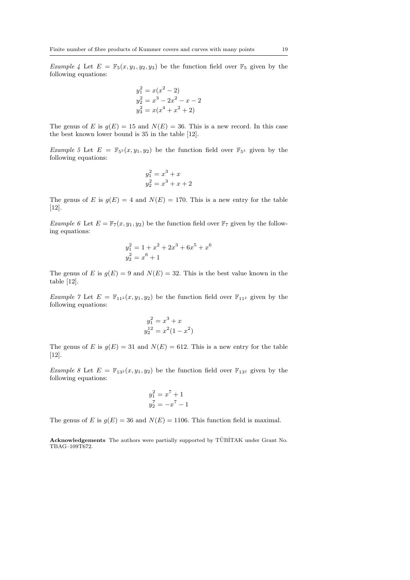Example 4 Let  $E = \mathbb{F}_5(x, y_1, y_2, y_3)$  be the function field over  $\mathbb{F}_5$  given by the following equations:

$$
y_1^2 = x(x^2 - 2)
$$
  
\n
$$
y_2^2 = x^3 - 2x^2 - x - 2
$$
  
\n
$$
y_3^2 = x(x^4 + x^2 + 2)
$$

The genus of E is  $g(E) = 15$  and  $N(E) = 36$ . This is a new record. In this case the best known lower bound is 35 in the table [12].

Example 5 Let  $E = \mathbb{F}_{5^3}(x, y_1, y_2)$  be the function field over  $\mathbb{F}_{5^3}$  given by the following equations:

$$
y_1^2 = x^3 + x
$$
  

$$
y_2^2 = x^3 + x + 2
$$

The genus of E is  $g(E) = 4$  and  $N(E) = 170$ . This is a new entry for the table [12].

Example 6 Let  $E = \mathbb{F}_7(x, y_1, y_2)$  be the function field over  $\mathbb{F}_7$  given by the following equations:

$$
y_1^2 = 1 + x^2 + 2x^3 + 6x^5 + x^6
$$
  

$$
y_2^2 = x^6 + 1
$$

The genus of E is  $g(E) = 9$  and  $N(E) = 32$ . This is the best value known in the table [12].

Example 7 Let  $E = \mathbb{F}_{11^2}(x, y_1, y_2)$  be the function field over  $\mathbb{F}_{11^2}$  given by the following equations:

$$
y_1^2 = x^3 + x
$$
  

$$
y_2^{12} = x^2(1 - x^2)
$$

The genus of E is  $g(E) = 31$  and  $N(E) = 612$ . This is a new entry for the table [12].

Example 8 Let  $E = \mathbb{F}_{13^2}(x, y_1, y_2)$  be the function field over  $\mathbb{F}_{13^2}$  given by the following equations:

$$
y_1^2 = x^7 + 1
$$
  

$$
y_2^7 = -x^7 - 1
$$

The genus of E is  $g(E) = 36$  and  $N(E) = 1106$ . This function field is maximal.

Acknowledgements The authors were partially supported by TÜBİTAK under Grant No. TBAG–109T672.